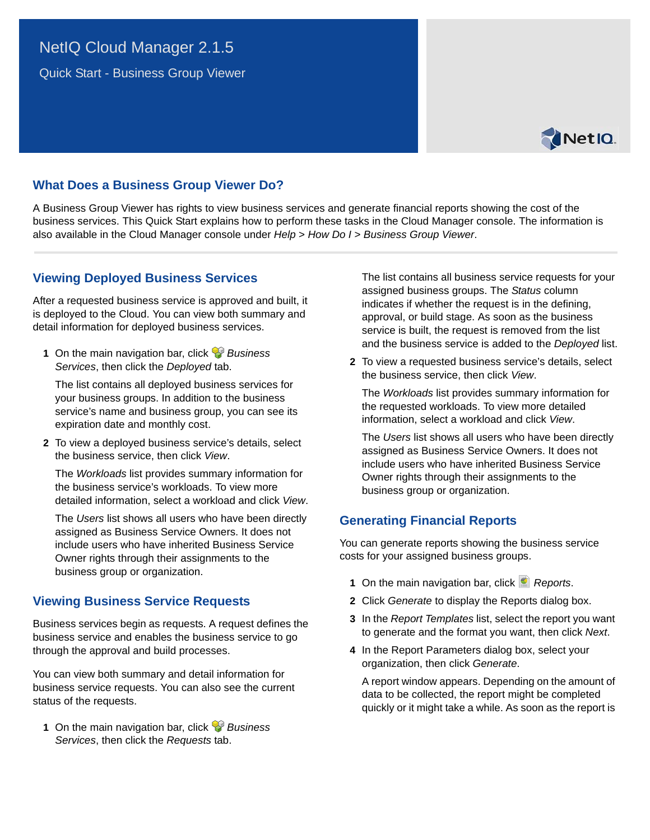# NetIQ Cloud Manager 2.1.5

Quick Start - Business Group Viewer



## **What Does a Business Group Viewer Do?**

A Business Group Viewer has rights to view business services and generate financial reports showing the cost of the business services. This Quick Start explains how to perform these tasks in the Cloud Manager console. The information is also available in the Cloud Manager console under *Help* > *How Do I* > *Business Group Viewer*.

#### **Viewing Deployed Business Services**

After a requested business service is approved and built, it is deployed to the Cloud. You can view both summary and detail information for deployed business services.

**1** On the main navigation bar, click *Business Services*, then click the *Deployed* tab.

The list contains all deployed business services for your business groups. In addition to the business service's name and business group, you can see its expiration date and monthly cost.

**2** To view a deployed business service's details, select the business service, then click *View*.

The *Workloads* list provides summary information for the business service's workloads. To view more detailed information, select a workload and click *View*.

The *Users* list shows all users who have been directly assigned as Business Service Owners. It does not include users who have inherited Business Service Owner rights through their assignments to the business group or organization.

### **Viewing Business Service Requests**

Business services begin as requests. A request defines the business service and enables the business service to go through the approval and build processes.

You can view both summary and detail information for business service requests. You can also see the current status of the requests.

**1** On the main navigation bar, click *Business Services*, then click the *Requests* tab.

The list contains all business service requests for your assigned business groups. The *Status* column indicates if whether the request is in the defining, approval, or build stage. As soon as the business service is built, the request is removed from the list and the business service is added to the *Deployed* list.

**2** To view a requested business service's details, select the business service, then click *View*.

The *Workloads* list provides summary information for the requested workloads. To view more detailed information, select a workload and click *View*.

The *Users* list shows all users who have been directly assigned as Business Service Owners. It does not include users who have inherited Business Service Owner rights through their assignments to the business group or organization.

# **Generating Financial Reports**

You can generate reports showing the business service costs for your assigned business groups.

- **1** On the main navigation bar, click *Reports*.
- **2** Click *Generate* to display the Reports dialog box.
- **3** In the *Report Templates* list, select the report you want to generate and the format you want, then click *Next*.
- **4** In the Report Parameters dialog box, select your organization, then click *Generate*.

A report window appears. Depending on the amount of data to be collected, the report might be completed quickly or it might take a while. As soon as the report is